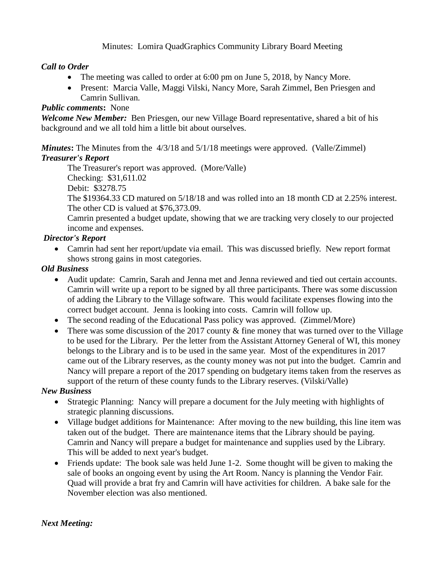Minutes: Lomira QuadGraphics Community Library Board Meeting

# *Call to Order*

- The meeting was called to order at 6:00 pm on June 5, 2018, by Nancy More.
- Present: Marcia Valle, Maggi Vilski, Nancy More, Sarah Zimmel, Ben Priesgen and Camrin Sullivan*.*

## *Public comments***:** None

*Welcome New Member:* Ben Priesgen, our new Village Board representative, shared a bit of his background and we all told him a little bit about ourselves.

*Minutes***:** The Minutes from the 4/3/18 and 5/1/18 meetings were approved. (Valle/Zimmel) *Treasurer's Report*

The Treasurer's report was approved. (More/Valle)

Checking: \$31,611.02

Debit: \$3278.75

The \$19364.33 CD matured on 5/18/18 and was rolled into an 18 month CD at 2.25% interest. The other CD is valued at \$76,373.09.

Camrin presented a budget update, showing that we are tracking very closely to our projected income and expenses.

# *Director's Report*

• Camrin had sent her report/update via email. This was discussed briefly. New report format shows strong gains in most categories.

# *Old Business*

- Audit update: Camrin, Sarah and Jenna met and Jenna reviewed and tied out certain accounts. Camrin will write up a report to be signed by all three participants. There was some discussion of adding the Library to the Village software. This would facilitate expenses flowing into the correct budget account. Jenna is looking into costs. Camrin will follow up.
- The second reading of the Educational Pass policy was approved. (Zimmel/More)
- There was some discussion of the 2017 county & fine money that was turned over to the Village to be used for the Library. Per the letter from the Assistant Attorney General of WI, this money belongs to the Library and is to be used in the same year. Most of the expenditures in 2017 came out of the Library reserves, as the county money was not put into the budget. Camrin and Nancy will prepare a report of the 2017 spending on budgetary items taken from the reserves as support of the return of these county funds to the Library reserves. (Vilski/Valle)

## *New Business*

- Strategic Planning: Nancy will prepare a document for the July meeting with highlights of strategic planning discussions.
- Village budget additions for Maintenance: After moving to the new building, this line item was taken out of the budget. There are maintenance items that the Library should be paying. Camrin and Nancy will prepare a budget for maintenance and supplies used by the Library. This will be added to next year's budget.
- Friends update: The book sale was held June 1-2. Some thought will be given to making the sale of books an ongoing event by using the Art Room. Nancy is planning the Vendor Fair. Quad will provide a brat fry and Camrin will have activities for children. A bake sale for the November election was also mentioned.

## *Next Meeting:*